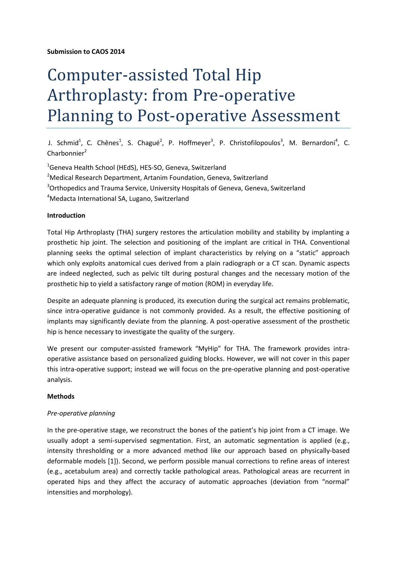# Computer-assisted Total Hip Arthroplasty: from Pre-operative Planning to Post-operative Assessment

J. Schmid<sup>1</sup>, C. Chênes<sup>1</sup>, S. Chagué<sup>2</sup>, P. Hoffmeyer<sup>3</sup>, P. Christofilopoulos<sup>3</sup>, M. Bernardoni<sup>4</sup>, C. Charbonnier<sup>2</sup>

<sup>1</sup>Geneva Health School (HEdS), HES-SO, Geneva, Switzerland

- <sup>2</sup>Medical Research Department, Artanim Foundation, Geneva, Switzerland
- <sup>3</sup>Orthopedics and Trauma Service, University Hospitals of Geneva, Geneva, Switzerland

<sup>4</sup>Medacta International SA, Lugano, Switzerland

# **Introduction**

Total Hip Arthroplasty (THA) surgery restores the articulation mobility and stability by implanting a prosthetic hip joint. The selection and positioning of the implant are critical in THA. Conventional planning seeks the optimal selection of implant characteristics by relying on a "static" approach which only exploits anatomical cues derived from a plain radiograph or a CT scan. Dynamic aspects are indeed neglected, such as pelvic tilt during postural changes and the necessary motion of the prosthetic hip to yield a satisfactory range of motion (ROM) in everyday life.

Despite an adequate planning is produced, its execution during the surgical act remains problematic, since intra-operative guidance is not commonly provided. As a result, the effective positioning of implants may significantly deviate from the planning. A post-operative assessment of the prosthetic hip is hence necessary to investigate the quality of the surgery.

We present our computer-assisted framework "MyHip" for THA. The framework provides intraoperative assistance based on personalized guiding blocks. However, we will not cover in this paper this intra-operative support; instead we will focus on the pre-operative planning and post-operative analysis.

# **Methods**

# *Pre-operative planning*

In the pre-operative stage, we reconstruct the bones of the patient's hip joint from a CT image. We usually adopt a semi-supervised segmentation. First, an automatic segmentation is applied (e.g., intensity thresholding or a more advanced method like our approach based on physically-based deformable models [1]). Second, we perform possible manual corrections to refine areas of interest (e.g., acetabulum area) and correctly tackle pathological areas. Pathological areas are recurrent in operated hips and they affect the accuracy of automatic approaches (deviation from "normal" intensities and morphology).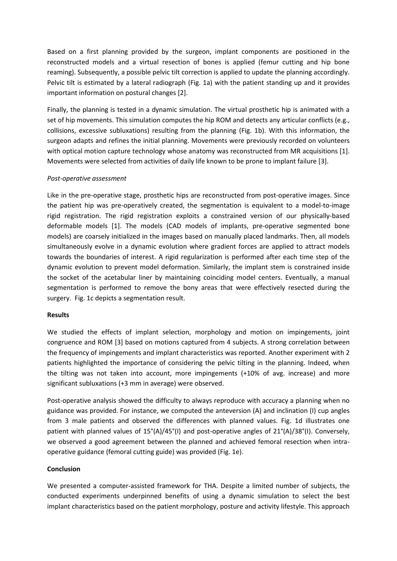Based on a first planning provided by the surgeon, implant components are positioned in the reconstructed models and a virtual resection of bones is applied (femur cutting and hip bone reaming). Subsequently, a possible pelvic tilt correction is applied to update the planning accordingly. Pelvic tilt is estimated by a lateral radiograph (Fig. 1a) with the patient standing up and it provides important information on postural changes [2].

Finally, the planning is tested in a dynamic simulation. The virtual prosthetic hip is animated with a set of hip movements. This simulation computes the hip ROM and detects any articular conflicts (e.g., collisions, excessive subluxations) resulting from the planning (Fig. 1b). With this information, the surgeon adapts and refines the initial planning. Movements were previously recorded on volunteers with optical motion capture technology whose anatomy was reconstructed from MR acquisitions [1]. Movements were selected from activities of daily life known to be prone to implant failure [3].

## *Post-operative assessment*

Like in the pre-operative stage, prosthetic hips are reconstructed from post-operative images. Since the patient hip was pre-operatively created, the segmentation is equivalent to a model-to-image rigid registration. The rigid registration exploits a constrained version of our physically-based deformable models [1]. The models (CAD models of implants, pre-operative segmented bone models) are coarsely initialized in the images based on manually placed landmarks. Then, all models simultaneously evolve in a dynamic evolution where gradient forces are applied to attract models towards the boundaries of interest. A rigid regularization is performed after each time step of the dynamic evolution to prevent model deformation. Similarly, the implant stem is constrained inside the socket of the acetabular liner by maintaining coinciding model centers. Eventually, a manual segmentation is performed to remove the bony areas that were effectively resected during the surgery. Fig. 1c depicts a segmentation result.

### **Results**

We studied the effects of implant selection, morphology and motion on impingements, joint congruence and ROM [3] based on motions captured from 4 subjects. A strong correlation between the frequency of impingements and implant characteristics was reported. Another experiment with 2 patients highlighted the importance of considering the pelvic tilting in the planning. Indeed, when the tilting was not taken into account, more impingements (+10% of avg. increase) and more significant subluxations (+3 mm in average) were observed.

Post-operative analysis showed the difficulty to always reproduce with accuracy a planning when no guidance was provided. For instance, we computed the anteversion (A) and inclination (I) cup angles from 3 male patients and observed the differences with planned values. Fig. 1d illustrates one patient with planned values of 15°(A)/45°(I) and post-operative angles of 21°(A)/38°(I). Conversely, we observed a good agreement between the planned and achieved femoral resection when intraoperative guidance (femoral cutting guide) was provided (Fig. 1e).

### **Conclusion**

We presented a computer-assisted framework for THA. Despite a limited number of subjects, the conducted experiments underpinned benefits of using a dynamic simulation to select the best implant characteristics based on the patient morphology, posture and activity lifestyle. This approach